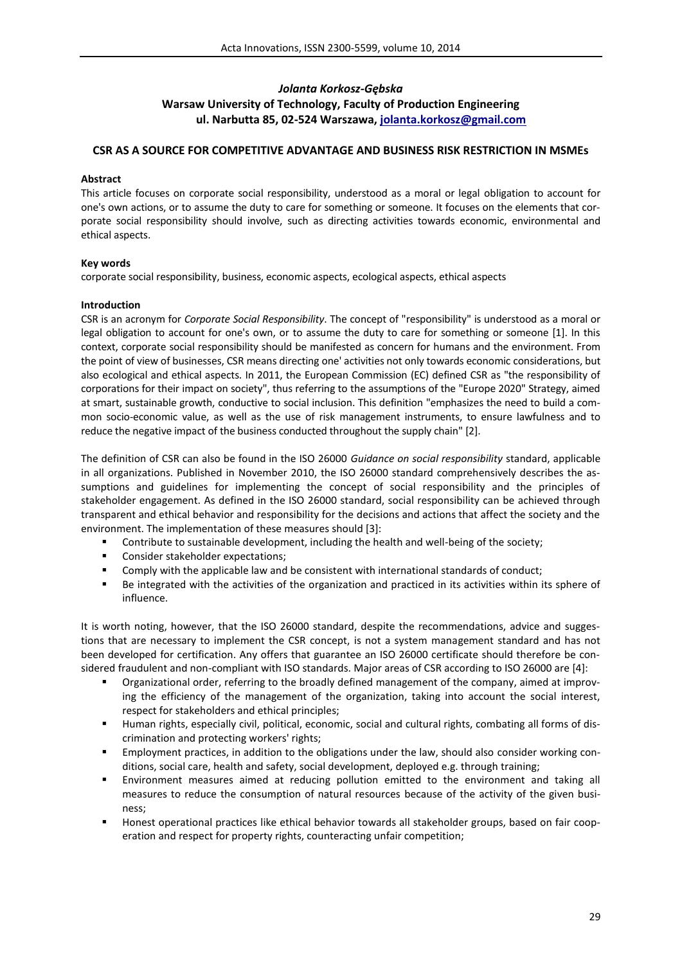# *Jolanta Korkosz-Gębska* **Warsaw University of Technology, Faculty of Production Engineering ul. Narbutta 85, 02-524 Warszawa, jolanta.korkosz@gmail.com**

### **CSR AS A SOURCE FOR COMPETITIVE ADVANTAGE AND BUSINESS RISK RESTRICTION IN MSMEs**

## **Abstract**

This article focuses on corporate social responsibility, understood as a moral or legal obligation to account for one's own actions, or to assume the duty to care for something or someone. It focuses on the elements that corporate social responsibility should involve, such as directing activities towards economic, environmental and ethical aspects.

### **Key words**

corporate social responsibility, business, economic aspects, ecological aspects, ethical aspects

### **Introduction**

CSR is an acronym for *Corporate Social Responsibility*. The concept of "responsibility" is understood as a moral or legal obligation to account for one's own, or to assume the duty to care for something or someone [1]. In this context, corporate social responsibility should be manifested as concern for humans and the environment. From the point of view of businesses, CSR means directing one' activities not only towards economic considerations, but also ecological and ethical aspects. In 2011, the European Commission (EC) defined CSR as "the responsibility of corporations for their impact on society", thus referring to the assumptions of the "Europe 2020" Strategy, aimed at smart, sustainable growth, conductive to social inclusion. This definition "emphasizes the need to build a common socio-economic value, as well as the use of risk management instruments, to ensure lawfulness and to reduce the negative impact of the business conducted throughout the supply chain" [2].

The definition of CSR can also be found in the ISO 26000 *Guidance on social responsibility* standard, applicable in all organizations. Published in November 2010, the ISO 26000 standard comprehensively describes the assumptions and guidelines for implementing the concept of social responsibility and the principles of stakeholder engagement. As defined in the ISO 26000 standard, social responsibility can be achieved through transparent and ethical behavior and responsibility for the decisions and actions that affect the society and the environment. The implementation of these measures should [3]:

- Contribute to sustainable development, including the health and well-being of the society;
- Consider stakeholder expectations;
- Comply with the applicable law and be consistent with international standards of conduct;
- Be integrated with the activities of the organization and practiced in its activities within its sphere of influence.

It is worth noting, however, that the ISO 26000 standard, despite the recommendations, advice and suggestions that are necessary to implement the CSR concept, is not a system management standard and has not been developed for certification. Any offers that guarantee an ISO 26000 certificate should therefore be considered fraudulent and non-compliant with ISO standards. Major areas of CSR according to ISO 26000 are [4]:

- Organizational order, referring to the broadly defined management of the company, aimed at improving the efficiency of the management of the organization, taking into account the social interest, respect for stakeholders and ethical principles;
- Human rights, especially civil, political, economic, social and cultural rights, combating all forms of discrimination and protecting workers' rights;
- Employment practices, in addition to the obligations under the law, should also consider working conditions, social care, health and safety, social development, deployed e.g. through training;
- Environment measures aimed at reducing pollution emitted to the environment and taking all measures to reduce the consumption of natural resources because of the activity of the given business;
- Honest operational practices like ethical behavior towards all stakeholder groups, based on fair cooperation and respect for property rights, counteracting unfair competition;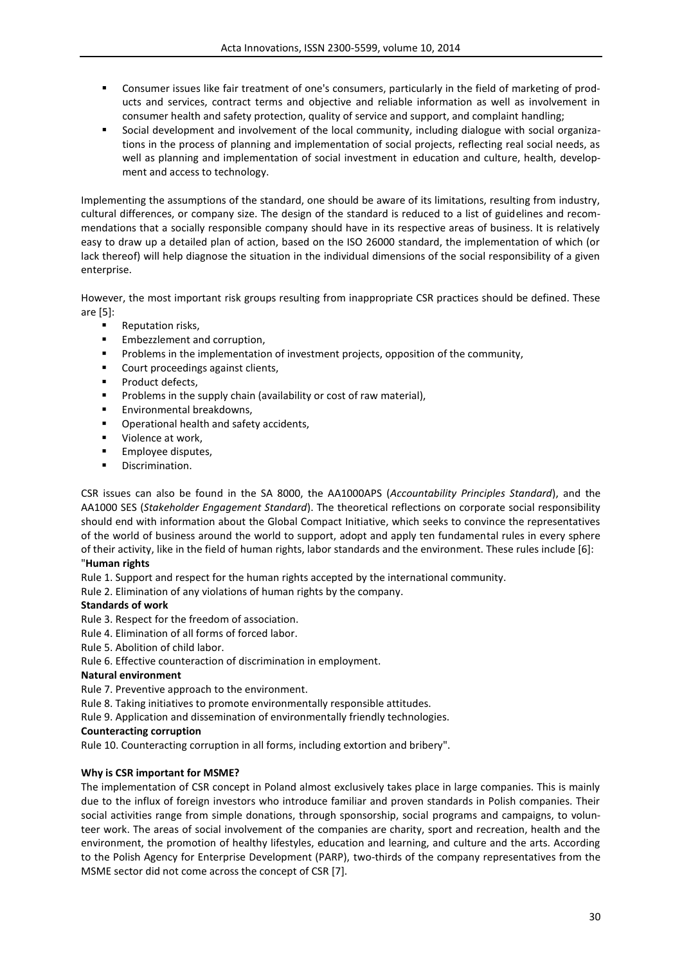- Consumer issues like fair treatment of one's consumers, particularly in the field of marketing of products and services, contract terms and objective and reliable information as well as involvement in consumer health and safety protection, quality of service and support, and complaint handling;
- Social development and involvement of the local community, including dialogue with social organizations in the process of planning and implementation of social projects, reflecting real social needs, as well as planning and implementation of social investment in education and culture, health, development and access to technology.

Implementing the assumptions of the standard, one should be aware of its limitations, resulting from industry, cultural differences, or company size. The design of the standard is reduced to a list of guidelines and recommendations that a socially responsible company should have in its respective areas of business. It is relatively easy to draw up a detailed plan of action, based on the ISO 26000 standard, the implementation of which (or lack thereof) will help diagnose the situation in the individual dimensions of the social responsibility of a given enterprise.

However, the most important risk groups resulting from inappropriate CSR practices should be defined. These are [5]:

- **Reputation risks,**
- Embezzlement and corruption,
- Problems in the implementation of investment projects, opposition of the community,
- **Court proceedings against clients,**
- **Product defects,**
- **Problems in the supply chain (availability or cost of raw material).**
- **Environmental breakdowns,**
- Operational health and safety accidents,
- Violence at work,
- **Employee disputes,**
- **•** Discrimination.

CSR issues can also be found in the SA 8000, the AA1000APS (*Accountability Principles Standard*), and the AA1000 SES (*Stakeholder Engagement Standard*). The theoretical reflections on corporate social responsibility should end with information about the Global Compact Initiative, which seeks to convince the representatives of the world of business around the world to support, adopt and apply ten fundamental rules in every sphere of their activity, like in the field of human rights, labor standards and the environment. These rules include [6]: "**Human rights**

Rule 1. Support and respect for the human rights accepted by the international community.

Rule 2. Elimination of any violations of human rights by the company.

## **Standards of work**

- Rule 3. Respect for the freedom of association.
- Rule 4. Elimination of all forms of forced labor.
- Rule 5. Abolition of child labor.
- Rule 6. Effective counteraction of discrimination in employment.

## **Natural environment**

- Rule 7. Preventive approach to the environment.
- Rule 8. Taking initiatives to promote environmentally responsible attitudes.
- Rule 9. Application and dissemination of environmentally friendly technologies.

#### **Counteracting corruption**

Rule 10. Counteracting corruption in all forms, including extortion and bribery".

## **Why is CSR important for MSME?**

The implementation of CSR concept in Poland almost exclusively takes place in large companies. This is mainly due to the influx of foreign investors who introduce familiar and proven standards in Polish companies. Their social activities range from simple donations, through sponsorship, social programs and campaigns, to volunteer work. The areas of social involvement of the companies are charity, sport and recreation, health and the environment, the promotion of healthy lifestyles, education and learning, and culture and the arts. According to the Polish Agency for Enterprise Development (PARP), two-thirds of the company representatives from the MSME sector did not come across the concept of CSR [7].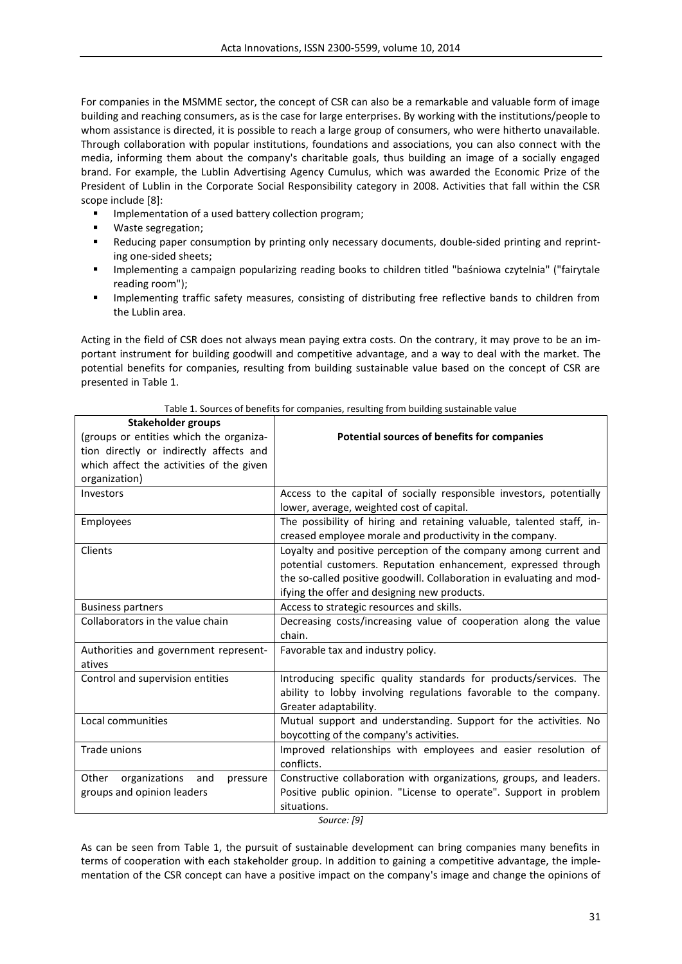For companies in the MSMME sector, the concept of CSR can also be a remarkable and valuable form of image building and reaching consumers, as is the case for large enterprises. By working with the institutions/people to whom assistance is directed, it is possible to reach a large group of consumers, who were hitherto unavailable. Through collaboration with popular institutions, foundations and associations, you can also connect with the media, informing them about the company's charitable goals, thus building an image of a socially engaged brand. For example, the Lublin Advertising Agency Cumulus, which was awarded the Economic Prize of the President of Lublin in the Corporate Social Responsibility category in 2008. Activities that fall within the CSR scope include [8]:

- **IMPLEMENTER IMPLEMENT COLLECT** Implementation of a used battery collection program;
- Waste segregation;
- **Reducing paper consumption by printing only necessary documents, double-sided printing and reprint**ing one-sided sheets;
- Implementing a campaign popularizing reading books to children titled "baśniowa czytelnia" ("fairytale reading room");
- **IMPLEM** Implementing traffic safety measures, consisting of distributing free reflective bands to children from the Lublin area.

Acting in the field of CSR does not always mean paying extra costs. On the contrary, it may prove to be an important instrument for building goodwill and competitive advantage, and a way to deal with the market. The potential benefits for companies, resulting from building sustainable value based on the concept of CSR are presented in Table 1.

| Stakeholder groups                        |                                                                       |  |  |  |  |
|-------------------------------------------|-----------------------------------------------------------------------|--|--|--|--|
| (groups or entities which the organiza-   | Potential sources of benefits for companies                           |  |  |  |  |
| tion directly or indirectly affects and   |                                                                       |  |  |  |  |
| which affect the activities of the given  |                                                                       |  |  |  |  |
| organization)                             |                                                                       |  |  |  |  |
| Investors                                 | Access to the capital of socially responsible investors, potentially  |  |  |  |  |
|                                           | lower, average, weighted cost of capital.                             |  |  |  |  |
| <b>Employees</b>                          | The possibility of hiring and retaining valuable, talented staff, in- |  |  |  |  |
|                                           | creased employee morale and productivity in the company.              |  |  |  |  |
| Clients                                   | Loyalty and positive perception of the company among current and      |  |  |  |  |
|                                           | potential customers. Reputation enhancement, expressed through        |  |  |  |  |
|                                           | the so-called positive goodwill. Collaboration in evaluating and mod- |  |  |  |  |
|                                           | ifying the offer and designing new products.                          |  |  |  |  |
| <b>Business partners</b>                  | Access to strategic resources and skills.                             |  |  |  |  |
| Collaborators in the value chain          | Decreasing costs/increasing value of cooperation along the value      |  |  |  |  |
|                                           | chain.                                                                |  |  |  |  |
| Authorities and government represent-     | Favorable tax and industry policy.                                    |  |  |  |  |
| atives                                    |                                                                       |  |  |  |  |
| Control and supervision entities          | Introducing specific quality standards for products/services. The     |  |  |  |  |
|                                           | ability to lobby involving regulations favorable to the company.      |  |  |  |  |
|                                           | Greater adaptability.                                                 |  |  |  |  |
| Local communities                         | Mutual support and understanding. Support for the activities. No      |  |  |  |  |
|                                           | boycotting of the company's activities.                               |  |  |  |  |
| Trade unions                              | Improved relationships with employees and easier resolution of        |  |  |  |  |
|                                           | conflicts.                                                            |  |  |  |  |
| Other<br>organizations<br>and<br>pressure | Constructive collaboration with organizations, groups, and leaders.   |  |  |  |  |
| groups and opinion leaders                | Positive public opinion. "License to operate". Support in problem     |  |  |  |  |
|                                           | situations.                                                           |  |  |  |  |

Table 1. Sources of benefits for companies, resulting from building sustainable value

*Source: [9]*

As can be seen from Table 1, the pursuit of sustainable development can bring companies many benefits in terms of cooperation with each stakeholder group. In addition to gaining a competitive advantage, the implementation of the CSR concept can have a positive impact on the company's image and change the opinions of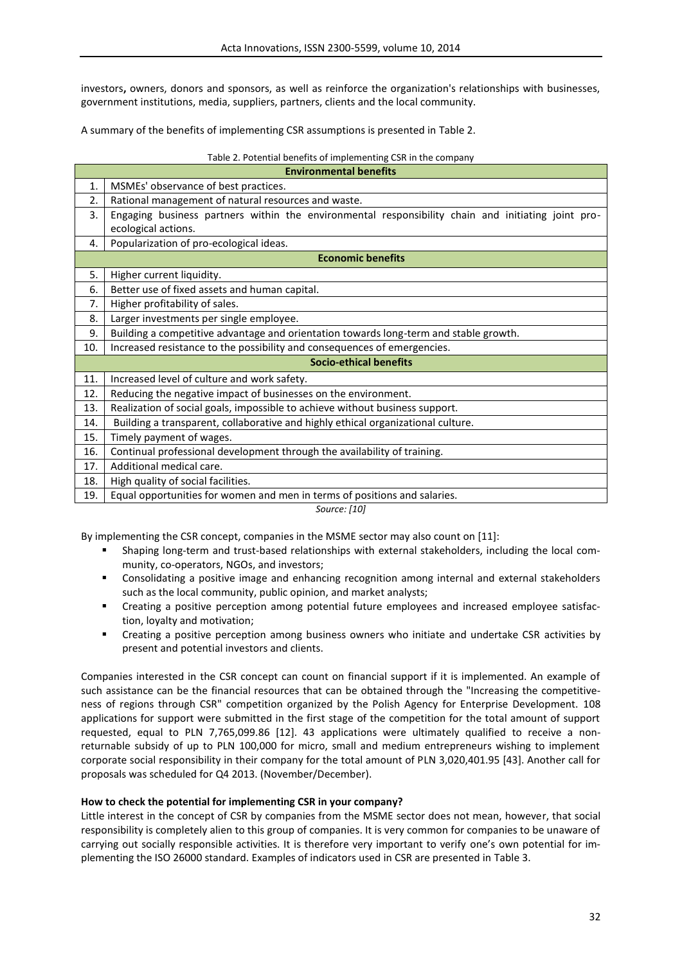investors**,** owners, donors and sponsors, as well as reinforce the organization's relationships with businesses, government institutions, media, suppliers, partners, clients and the local community.

A summary of the benefits of implementing CSR assumptions is presented in Table 2.

|     | Table 2. Potential benefits of implementing CSR in the company                                     |  |  |  |  |  |  |
|-----|----------------------------------------------------------------------------------------------------|--|--|--|--|--|--|
|     | <b>Environmental benefits</b>                                                                      |  |  |  |  |  |  |
| 1.  | MSMEs' observance of best practices.                                                               |  |  |  |  |  |  |
| 2.  | Rational management of natural resources and waste.                                                |  |  |  |  |  |  |
| 3.  | Engaging business partners within the environmental responsibility chain and initiating joint pro- |  |  |  |  |  |  |
|     | ecological actions.                                                                                |  |  |  |  |  |  |
| 4.  | Popularization of pro-ecological ideas.                                                            |  |  |  |  |  |  |
|     | <b>Economic benefits</b>                                                                           |  |  |  |  |  |  |
| 5.  | Higher current liquidity.                                                                          |  |  |  |  |  |  |
| 6.  | Better use of fixed assets and human capital.                                                      |  |  |  |  |  |  |
| 7.  | Higher profitability of sales.                                                                     |  |  |  |  |  |  |
| 8.  | Larger investments per single employee.                                                            |  |  |  |  |  |  |
| 9.  | Building a competitive advantage and orientation towards long-term and stable growth.              |  |  |  |  |  |  |
| 10. | Increased resistance to the possibility and consequences of emergencies.                           |  |  |  |  |  |  |
|     | <b>Socio-ethical benefits</b>                                                                      |  |  |  |  |  |  |
| 11. | Increased level of culture and work safety.                                                        |  |  |  |  |  |  |
| 12. | Reducing the negative impact of businesses on the environment.                                     |  |  |  |  |  |  |
| 13. | Realization of social goals, impossible to achieve without business support.                       |  |  |  |  |  |  |
| 14. | Building a transparent, collaborative and highly ethical organizational culture.                   |  |  |  |  |  |  |
| 15. | Timely payment of wages.                                                                           |  |  |  |  |  |  |
| 16. | Continual professional development through the availability of training.                           |  |  |  |  |  |  |
| 17. | Additional medical care.                                                                           |  |  |  |  |  |  |
| 18. | High quality of social facilities.                                                                 |  |  |  |  |  |  |
| 19. | Equal opportunities for women and men in terms of positions and salaries.                          |  |  |  |  |  |  |

*Source: [10]*

By implementing the CSR concept, companies in the MSME sector may also count on [11]:

- Shaping long-term and trust-based relationships with external stakeholders, including the local community, co-operators, NGOs, and investors;
- Consolidating a positive image and enhancing recognition among internal and external stakeholders such as the local community, public opinion, and market analysts;
- Creating a positive perception among potential future employees and increased employee satisfaction, loyalty and motivation;
- Creating a positive perception among business owners who initiate and undertake CSR activities by present and potential investors and clients.

Companies interested in the CSR concept can count on financial support if it is implemented. An example of such assistance can be the financial resources that can be obtained through the "Increasing the competitiveness of regions through CSR" competition organized by the Polish Agency for Enterprise Development. 108 applications for support were submitted in the first stage of the competition for the total amount of support requested, equal to PLN 7,765,099.86 [12]. 43 applications were ultimately qualified to receive a nonreturnable subsidy of up to PLN 100,000 for micro, small and medium entrepreneurs wishing to implement corporate social responsibility in their company for the total amount of PLN 3,020,401.95 [43]. Another call for proposals was scheduled for Q4 2013. (November/December).

## **How to check the potential for implementing CSR in your company?**

Little interest in the concept of CSR by companies from the MSME sector does not mean, however, that social responsibility is completely alien to this group of companies. It is very common for companies to be unaware of carrying out socially responsible activities. It is therefore very important to verify one's own potential for implementing the ISO 26000 standard. Examples of indicators used in CSR are presented in Table 3.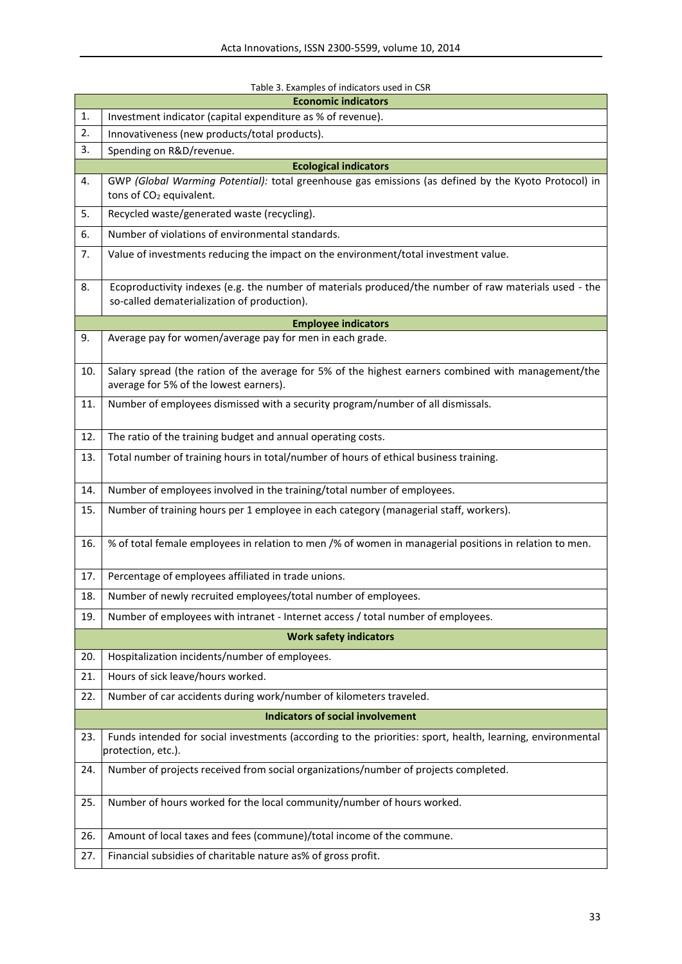| <b>Economic indicators</b> |                                                                                                                                                      |  |  |  |  |  |  |
|----------------------------|------------------------------------------------------------------------------------------------------------------------------------------------------|--|--|--|--|--|--|
| 1.                         | Investment indicator (capital expenditure as % of revenue).                                                                                          |  |  |  |  |  |  |
| 2.                         | Innovativeness (new products/total products).                                                                                                        |  |  |  |  |  |  |
| 3.                         | Spending on R&D/revenue.                                                                                                                             |  |  |  |  |  |  |
|                            | <b>Ecological indicators</b>                                                                                                                         |  |  |  |  |  |  |
| 4.                         | GWP (Global Warming Potential): total greenhouse gas emissions (as defined by the Kyoto Protocol) in<br>tons of CO <sub>2</sub> equivalent.          |  |  |  |  |  |  |
| 5.                         | Recycled waste/generated waste (recycling).                                                                                                          |  |  |  |  |  |  |
| 6.                         | Number of violations of environmental standards.                                                                                                     |  |  |  |  |  |  |
| 7.                         | Value of investments reducing the impact on the environment/total investment value.                                                                  |  |  |  |  |  |  |
| 8.                         | Ecoproductivity indexes (e.g. the number of materials produced/the number of raw materials used - the<br>so-called dematerialization of production). |  |  |  |  |  |  |
|                            | <b>Employee indicators</b>                                                                                                                           |  |  |  |  |  |  |
| 9.                         | Average pay for women/average pay for men in each grade.                                                                                             |  |  |  |  |  |  |
| 10.                        | Salary spread (the ration of the average for 5% of the highest earners combined with management/the<br>average for 5% of the lowest earners).        |  |  |  |  |  |  |
| 11.                        | Number of employees dismissed with a security program/number of all dismissals.                                                                      |  |  |  |  |  |  |
| 12.                        | The ratio of the training budget and annual operating costs.                                                                                         |  |  |  |  |  |  |
| 13.                        | Total number of training hours in total/number of hours of ethical business training.                                                                |  |  |  |  |  |  |
| 14.                        | Number of employees involved in the training/total number of employees.                                                                              |  |  |  |  |  |  |
| 15.                        | Number of training hours per 1 employee in each category (managerial staff, workers).                                                                |  |  |  |  |  |  |
| 16.                        | % of total female employees in relation to men /% of women in managerial positions in relation to men.                                               |  |  |  |  |  |  |
| 17.                        | Percentage of employees affiliated in trade unions.                                                                                                  |  |  |  |  |  |  |
| 18.                        | Number of newly recruited employees/total number of employees.                                                                                       |  |  |  |  |  |  |
| 19.                        | Number of employees with intranet - Internet access / total number of employees.                                                                     |  |  |  |  |  |  |
|                            | <b>Work safety indicators</b>                                                                                                                        |  |  |  |  |  |  |
| 20.                        | Hospitalization incidents/number of employees.                                                                                                       |  |  |  |  |  |  |
| 21.                        | Hours of sick leave/hours worked.                                                                                                                    |  |  |  |  |  |  |
| 22.                        | Number of car accidents during work/number of kilometers traveled.                                                                                   |  |  |  |  |  |  |
|                            | <b>Indicators of social involvement</b>                                                                                                              |  |  |  |  |  |  |
| 23.                        | Funds intended for social investments (according to the priorities: sport, health, learning, environmental<br>protection, etc.).                     |  |  |  |  |  |  |
| 24.                        | Number of projects received from social organizations/number of projects completed.                                                                  |  |  |  |  |  |  |
| 25.                        | Number of hours worked for the local community/number of hours worked.                                                                               |  |  |  |  |  |  |
| 26.                        | Amount of local taxes and fees (commune)/total income of the commune.                                                                                |  |  |  |  |  |  |
| 27.                        | Financial subsidies of charitable nature as% of gross profit.                                                                                        |  |  |  |  |  |  |

## Table 3. Examples of indicators used in CSR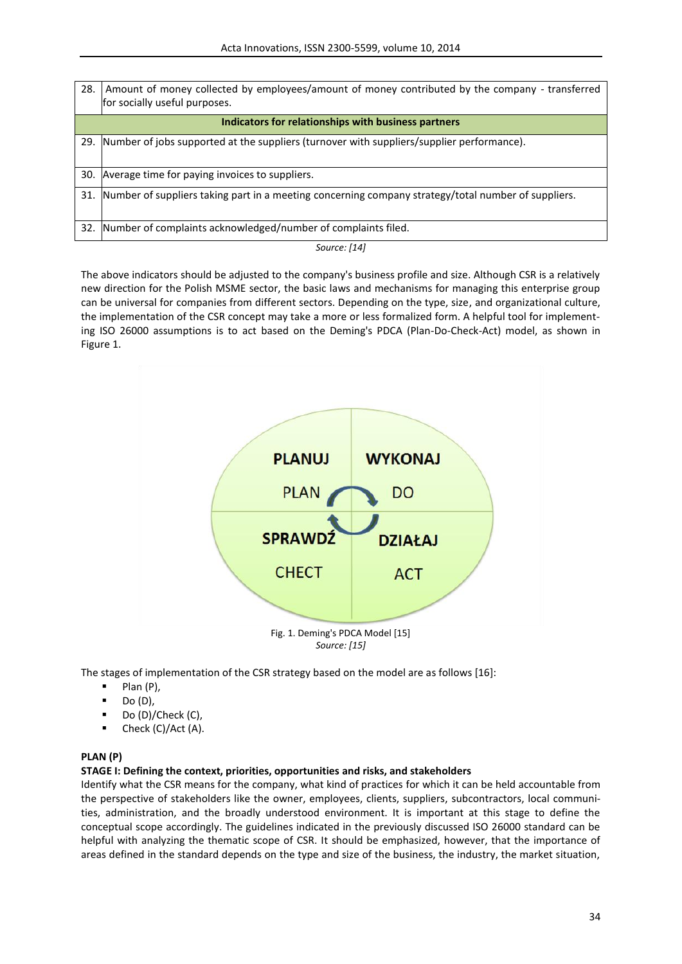| 28. | Amount of money collected by employees/amount of money contributed by the company - transferred<br>for socially useful purposes. |
|-----|----------------------------------------------------------------------------------------------------------------------------------|
|     | Indicators for relationships with business partners                                                                              |
|     | 29. Number of jobs supported at the suppliers (turnover with suppliers/supplier performance).                                    |
|     | 30. Average time for paying invoices to suppliers.                                                                               |
|     | 31. Number of suppliers taking part in a meeting concerning company strategy/total number of suppliers.                          |
| 32. | Number of complaints acknowledged/number of complaints filed.                                                                    |

*Source: [14]*

The above indicators should be adjusted to the company's business profile and size. Although CSR is a relatively new direction for the Polish MSME sector, the basic laws and mechanisms for managing this enterprise group can be universal for companies from different sectors. Depending on the type, size, and organizational culture, the implementation of the CSR concept may take a more or less formalized form. A helpful tool for implementing ISO 26000 assumptions is to act based on the Deming's PDCA (Plan-Do-Check-Act) model, as shown in Figure 1.



The stages of implementation of the CSR strategy based on the model are as follows [16]:

- $\blacksquare$  Plan (P),
- Do (D),
- $\blacksquare$  Do (D)/Check (C),
- $\blacksquare$  Check (C)/Act (A).

# **PLAN (P)**

## **STAGE I: Defining the context, priorities, opportunities and risks, and stakeholders**

Identify what the CSR means for the company, what kind of practices for which it can be held accountable from the perspective of stakeholders like the owner, employees, clients, suppliers, subcontractors, local communities, administration, and the broadly understood environment. It is important at this stage to define the conceptual scope accordingly. The guidelines indicated in the previously discussed ISO 26000 standard can be helpful with analyzing the thematic scope of CSR. It should be emphasized, however, that the importance of areas defined in the standard depends on the type and size of the business, the industry, the market situation,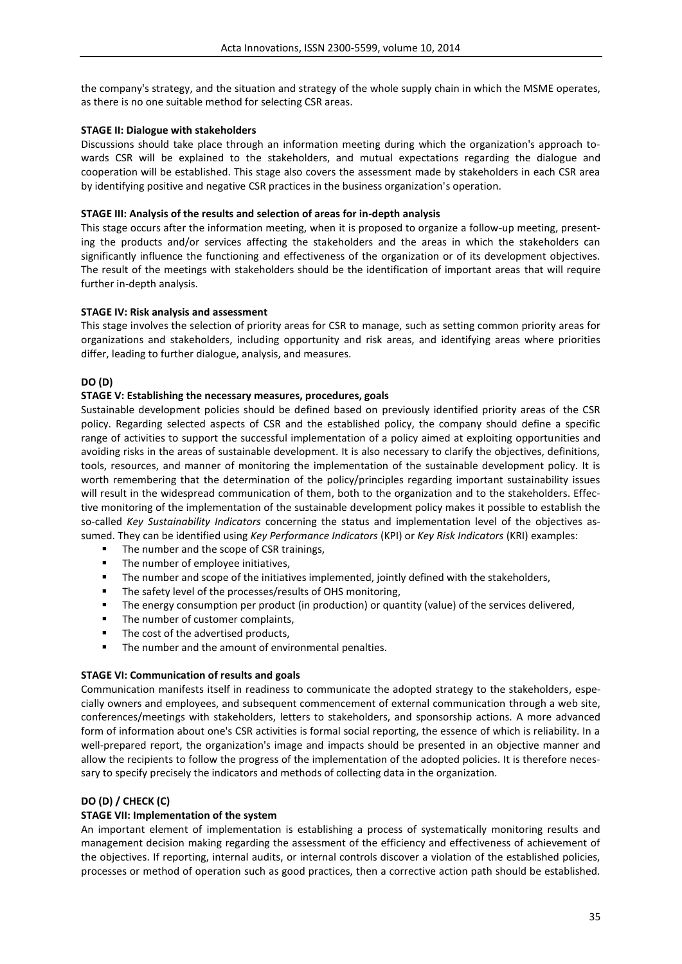the company's strategy, and the situation and strategy of the whole supply chain in which the MSME operates, as there is no one suitable method for selecting CSR areas.

#### **STAGE II: Dialogue with stakeholders**

Discussions should take place through an information meeting during which the organization's approach towards CSR will be explained to the stakeholders, and mutual expectations regarding the dialogue and cooperation will be established. This stage also covers the assessment made by stakeholders in each CSR area by identifying positive and negative CSR practices in the business organization's operation.

#### **STAGE III: Analysis of the results and selection of areas for in-depth analysis**

This stage occurs after the information meeting, when it is proposed to organize a follow-up meeting, presenting the products and/or services affecting the stakeholders and the areas in which the stakeholders can significantly influence the functioning and effectiveness of the organization or of its development objectives. The result of the meetings with stakeholders should be the identification of important areas that will require further in-depth analysis.

### **STAGE IV: Risk analysis and assessment**

This stage involves the selection of priority areas for CSR to manage, such as setting common priority areas for organizations and stakeholders, including opportunity and risk areas, and identifying areas where priorities differ, leading to further dialogue, analysis, and measures.

### **DO (D)**

#### **STAGE V: Establishing the necessary measures, procedures, goals**

Sustainable development policies should be defined based on previously identified priority areas of the CSR policy. Regarding selected aspects of CSR and the established policy, the company should define a specific range of activities to support the successful implementation of a policy aimed at exploiting opportunities and avoiding risks in the areas of sustainable development. It is also necessary to clarify the objectives, definitions, tools, resources, and manner of monitoring the implementation of the sustainable development policy. It is worth remembering that the determination of the policy/principles regarding important sustainability issues will result in the widespread communication of them, both to the organization and to the stakeholders. Effective monitoring of the implementation of the sustainable development policy makes it possible to establish the so-called *Key Sustainability Indicators* concerning the status and implementation level of the objectives assumed. They can be identified using *Key Performance Indicators* (KPI) or *Key Risk Indicators* (KRI) examples:

- The number and the scope of CSR trainings,
- The number of employee initiatives,
- **The number and scope of the initiatives implemented, jointly defined with the stakeholders,**
- The safety level of the processes/results of OHS monitoring,
- The energy consumption per product (in production) or quantity (value) of the services delivered,
- The number of customer complaints,
- The cost of the advertised products.
- **F** The number and the amount of environmental penalties.

#### **STAGE VI: Communication of results and goals**

Communication manifests itself in readiness to communicate the adopted strategy to the stakeholders, especially owners and employees, and subsequent commencement of external communication through a web site, conferences/meetings with stakeholders, letters to stakeholders, and sponsorship actions. A more advanced form of information about one's CSR activities is formal social reporting, the essence of which is reliability. In a well-prepared report, the organization's image and impacts should be presented in an objective manner and allow the recipients to follow the progress of the implementation of the adopted policies. It is therefore necessary to specify precisely the indicators and methods of collecting data in the organization.

## **DO (D) / CHECK (C)**

#### **STAGE VII: Implementation of the system**

An important element of implementation is establishing a process of systematically monitoring results and management decision making regarding the assessment of the efficiency and effectiveness of achievement of the objectives. If reporting, internal audits, or internal controls discover a violation of the established policies, processes or method of operation such as good practices, then a corrective action path should be established.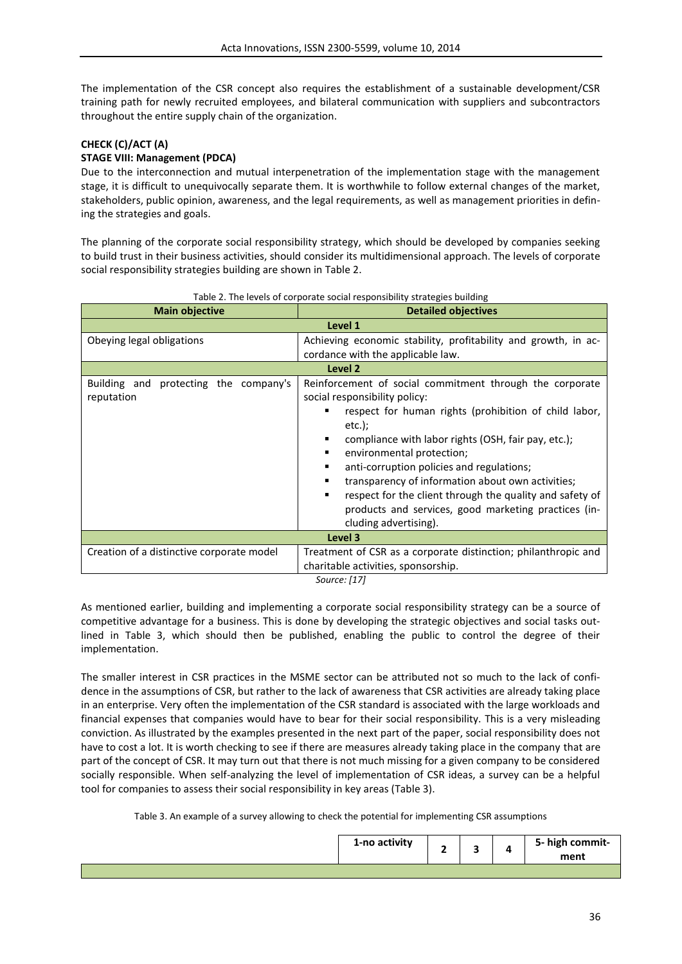The implementation of the CSR concept also requires the establishment of a sustainable development/CSR training path for newly recruited employees, and bilateral communication with suppliers and subcontractors throughout the entire supply chain of the organization.

## **CHECK (C)/ACT (A)**

## **STAGE VIII: Management (PDCA)**

Due to the interconnection and mutual interpenetration of the implementation stage with the management stage, it is difficult to unequivocally separate them. It is worthwhile to follow external changes of the market, stakeholders, public opinion, awareness, and the legal requirements, as well as management priorities in defining the strategies and goals.

The planning of the corporate social responsibility strategy, which should be developed by companies seeking to build trust in their business activities, should consider its multidimensional approach. The levels of corporate social responsibility strategies building are shown in Table 2.

| <b>Detailed objectives</b><br><b>Main objective</b>                                                         |                                                                                                                                                                                                                                                                                                                                                                                                                                                                                                                        |  |  |  |  |
|-------------------------------------------------------------------------------------------------------------|------------------------------------------------------------------------------------------------------------------------------------------------------------------------------------------------------------------------------------------------------------------------------------------------------------------------------------------------------------------------------------------------------------------------------------------------------------------------------------------------------------------------|--|--|--|--|
| Level 1                                                                                                     |                                                                                                                                                                                                                                                                                                                                                                                                                                                                                                                        |  |  |  |  |
| Obeying legal obligations                                                                                   | Achieving economic stability, profitability and growth, in ac-                                                                                                                                                                                                                                                                                                                                                                                                                                                         |  |  |  |  |
|                                                                                                             | cordance with the applicable law.                                                                                                                                                                                                                                                                                                                                                                                                                                                                                      |  |  |  |  |
|                                                                                                             | Level 2                                                                                                                                                                                                                                                                                                                                                                                                                                                                                                                |  |  |  |  |
| Building and protecting the company's<br>reputation                                                         | Reinforcement of social commitment through the corporate<br>social responsibility policy:<br>respect for human rights (prohibition of child labor,<br>$etc.$ );<br>compliance with labor rights (OSH, fair pay, etc.);<br>environmental protection;<br>■<br>anti-corruption policies and regulations;<br>٠<br>transparency of information about own activities;<br>٠<br>respect for the client through the quality and safety of<br>٠<br>products and services, good marketing practices (in-<br>cluding advertising). |  |  |  |  |
| Level 3                                                                                                     |                                                                                                                                                                                                                                                                                                                                                                                                                                                                                                                        |  |  |  |  |
| Creation of a distinctive corporate model<br>Treatment of CSR as a corporate distinction; philanthropic and |                                                                                                                                                                                                                                                                                                                                                                                                                                                                                                                        |  |  |  |  |
|                                                                                                             | charitable activities, sponsorship.                                                                                                                                                                                                                                                                                                                                                                                                                                                                                    |  |  |  |  |

#### Table 2. The levels of corporate social responsibility strategies building

*Source: [17]*

As mentioned earlier, building and implementing a corporate social responsibility strategy can be a source of competitive advantage for a business. This is done by developing the strategic objectives and social tasks outlined in Table 3, which should then be published, enabling the public to control the degree of their implementation.

The smaller interest in CSR practices in the MSME sector can be attributed not so much to the lack of confidence in the assumptions of CSR, but rather to the lack of awareness that CSR activities are already taking place in an enterprise. Very often the implementation of the CSR standard is associated with the large workloads and financial expenses that companies would have to bear for their social responsibility. This is a very misleading conviction. As illustrated by the examples presented in the next part of the paper, social responsibility does not have to cost a lot. It is worth checking to see if there are measures already taking place in the company that are part of the concept of CSR. It may turn out that there is not much missing for a given company to be considered socially responsible. When self-analyzing the level of implementation of CSR ideas, a survey can be a helpful tool for companies to assess their social responsibility in key areas (Table 3).

Table 3. An example of a survey allowing to check the potential for implementing CSR assumptions

| 1-no activity | - | - | 5- high commit-<br>ment |
|---------------|---|---|-------------------------|
|               |   |   |                         |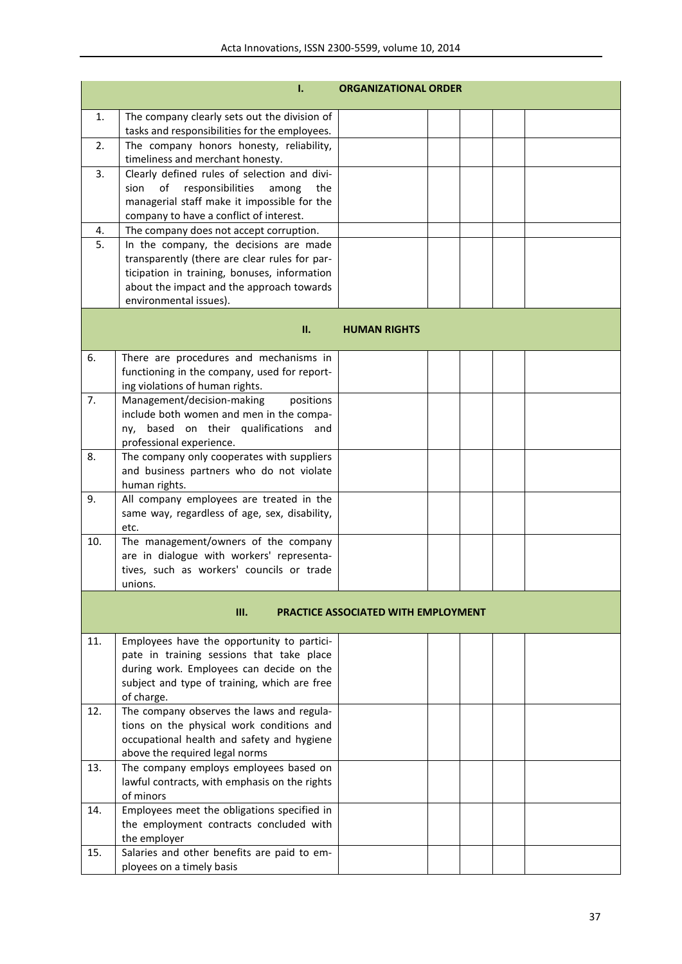|     | Ι.                                                                                                                                                                                                             | <b>ORGANIZATIONAL ORDER</b>                |
|-----|----------------------------------------------------------------------------------------------------------------------------------------------------------------------------------------------------------------|--------------------------------------------|
| 1.  | The company clearly sets out the division of<br>tasks and responsibilities for the employees.                                                                                                                  |                                            |
| 2.  | The company honors honesty, reliability,<br>timeliness and merchant honesty.                                                                                                                                   |                                            |
| 3.  | Clearly defined rules of selection and divi-<br>of<br>sion<br>responsibilities<br>among<br>the<br>managerial staff make it impossible for the<br>company to have a conflict of interest.                       |                                            |
| 4.  | The company does not accept corruption.                                                                                                                                                                        |                                            |
| 5.  | In the company, the decisions are made<br>transparently (there are clear rules for par-<br>ticipation in training, bonuses, information<br>about the impact and the approach towards<br>environmental issues). |                                            |
|     | П.                                                                                                                                                                                                             | <b>HUMAN RIGHTS</b>                        |
| 6.  | There are procedures and mechanisms in<br>functioning in the company, used for report-<br>ing violations of human rights.                                                                                      |                                            |
| 7.  | Management/decision-making<br>positions<br>include both women and men in the compa-<br>ny, based on their qualifications and<br>professional experience.                                                       |                                            |
| 8.  | The company only cooperates with suppliers<br>and business partners who do not violate<br>human rights.                                                                                                        |                                            |
| 9.  | All company employees are treated in the<br>same way, regardless of age, sex, disability,<br>etc.                                                                                                              |                                            |
| 10. | The management/owners of the company<br>are in dialogue with workers' representa-<br>tives, such as workers' councils or trade<br>unions.                                                                      |                                            |
|     | Ш.                                                                                                                                                                                                             | <b>PRACTICE ASSOCIATED WITH EMPLOYMENT</b> |
| 11. | Employees have the opportunity to partici-<br>pate in training sessions that take place<br>during work. Employees can decide on the<br>subject and type of training, which are free<br>of charge.              |                                            |
| 12. | The company observes the laws and regula-<br>tions on the physical work conditions and<br>occupational health and safety and hygiene<br>above the required legal norms                                         |                                            |
| 13. | The company employs employees based on<br>lawful contracts, with emphasis on the rights<br>of minors                                                                                                           |                                            |
| 14. | Employees meet the obligations specified in<br>the employment contracts concluded with<br>the employer                                                                                                         |                                            |
| 15. | Salaries and other benefits are paid to em-<br>ployees on a timely basis                                                                                                                                       |                                            |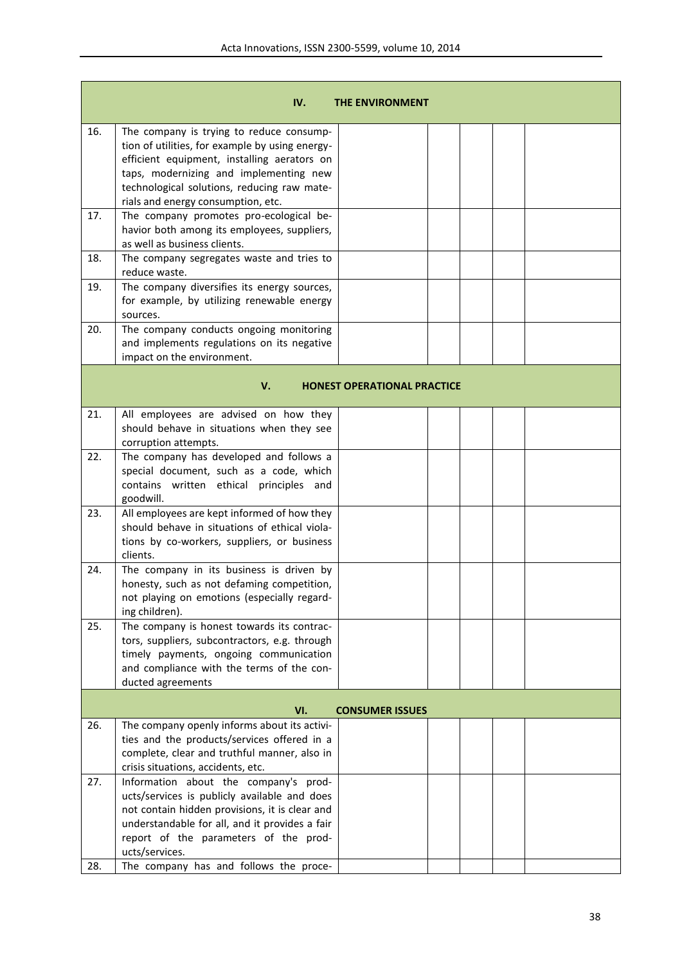| IV.<br><b>THE ENVIRONMENT</b> |                                                                                                                                                                                                                                                                                                |                                    |  |  |  |  |  |
|-------------------------------|------------------------------------------------------------------------------------------------------------------------------------------------------------------------------------------------------------------------------------------------------------------------------------------------|------------------------------------|--|--|--|--|--|
| 16.                           | The company is trying to reduce consump-<br>tion of utilities, for example by using energy-<br>efficient equipment, installing aerators on<br>taps, modernizing and implementing new<br>technological solutions, reducing raw mate-<br>rials and energy consumption, etc.                      |                                    |  |  |  |  |  |
| 17.                           | The company promotes pro-ecological be-<br>havior both among its employees, suppliers,<br>as well as business clients.                                                                                                                                                                         |                                    |  |  |  |  |  |
| 18.                           | The company segregates waste and tries to<br>reduce waste.                                                                                                                                                                                                                                     |                                    |  |  |  |  |  |
| 19.                           | The company diversifies its energy sources,<br>for example, by utilizing renewable energy<br>sources.                                                                                                                                                                                          |                                    |  |  |  |  |  |
| 20.                           | The company conducts ongoing monitoring<br>and implements regulations on its negative<br>impact on the environment.                                                                                                                                                                            |                                    |  |  |  |  |  |
|                               | V.                                                                                                                                                                                                                                                                                             | <b>HONEST OPERATIONAL PRACTICE</b> |  |  |  |  |  |
| 21.                           | All employees are advised on how they<br>should behave in situations when they see<br>corruption attempts.                                                                                                                                                                                     |                                    |  |  |  |  |  |
| 22.                           | The company has developed and follows a<br>special document, such as a code, which<br>contains written ethical principles and<br>goodwill.                                                                                                                                                     |                                    |  |  |  |  |  |
| 23.                           | All employees are kept informed of how they<br>should behave in situations of ethical viola-<br>tions by co-workers, suppliers, or business<br>clients.                                                                                                                                        |                                    |  |  |  |  |  |
| 24.                           | The company in its business is driven by<br>honesty, such as not defaming competition,<br>not playing on emotions (especially regard-<br>ing children).                                                                                                                                        |                                    |  |  |  |  |  |
| 25.                           | The company is honest towards its contrac-<br>tors, suppliers, subcontractors, e.g. through<br>timely payments, ongoing communication<br>and compliance with the terms of the con-<br>ducted agreements                                                                                        |                                    |  |  |  |  |  |
|                               | VI.<br><b>CONSUMER ISSUES</b>                                                                                                                                                                                                                                                                  |                                    |  |  |  |  |  |
| 26.                           | The company openly informs about its activi-<br>ties and the products/services offered in a<br>complete, clear and truthful manner, also in<br>crisis situations, accidents, etc.                                                                                                              |                                    |  |  |  |  |  |
| 27.<br>28.                    | Information about the company's prod-<br>ucts/services is publicly available and does<br>not contain hidden provisions, it is clear and<br>understandable for all, and it provides a fair<br>report of the parameters of the prod-<br>ucts/services.<br>The company has and follows the proce- |                                    |  |  |  |  |  |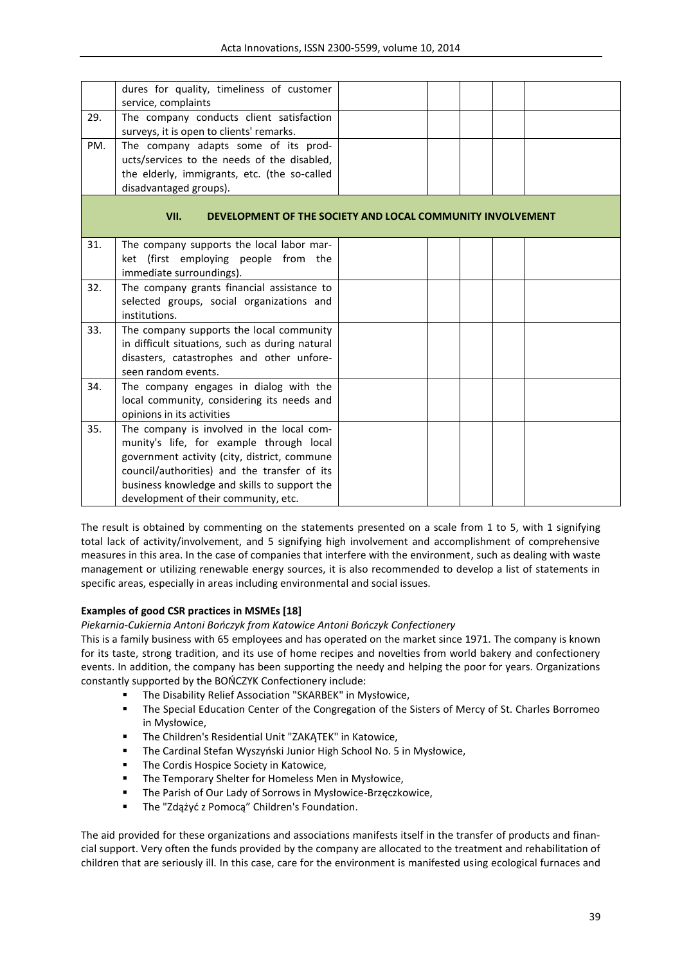|     | dures for quality, timeliness of customer<br>service, complaints                                                                                                                                                                                                              |  |  |  |
|-----|-------------------------------------------------------------------------------------------------------------------------------------------------------------------------------------------------------------------------------------------------------------------------------|--|--|--|
| 29. | The company conducts client satisfaction<br>surveys, it is open to clients' remarks.                                                                                                                                                                                          |  |  |  |
| PM. | The company adapts some of its prod-<br>ucts/services to the needs of the disabled,<br>the elderly, immigrants, etc. (the so-called<br>disadvantaged groups).                                                                                                                 |  |  |  |
|     | VII.<br>DEVELOPMENT OF THE SOCIETY AND LOCAL COMMUNITY INVOLVEMENT                                                                                                                                                                                                            |  |  |  |
| 31. | The company supports the local labor mar-<br>ket (first employing people from the<br>immediate surroundings).                                                                                                                                                                 |  |  |  |
| 32. | The company grants financial assistance to<br>selected groups, social organizations and<br>institutions.                                                                                                                                                                      |  |  |  |
| 33. | The company supports the local community<br>in difficult situations, such as during natural<br>disasters, catastrophes and other unfore-<br>seen random events.                                                                                                               |  |  |  |
| 34. | The company engages in dialog with the<br>local community, considering its needs and<br>opinions in its activities                                                                                                                                                            |  |  |  |
| 35. | The company is involved in the local com-<br>munity's life, for example through local<br>government activity (city, district, commune<br>council/authorities) and the transfer of its<br>business knowledge and skills to support the<br>development of their community, etc. |  |  |  |

The result is obtained by commenting on the statements presented on a scale from 1 to 5, with 1 signifying total lack of activity/involvement, and 5 signifying high involvement and accomplishment of comprehensive measures in this area. In the case of companies that interfere with the environment, such as dealing with waste management or utilizing renewable energy sources, it is also recommended to develop a list of statements in specific areas, especially in areas including environmental and social issues.

# **Examples of good CSR practices in MSMEs [18]**

*Piekarnia-Cukiernia Antoni Bończyk from Katowice Antoni Bończyk Confectionery*

This is a family business with 65 employees and has operated on the market since 1971. The company is known for its taste, strong tradition, and its use of home recipes and novelties from world bakery and confectionery events. In addition, the company has been supporting the needy and helping the poor for years. Organizations constantly supported by the BOŃCZYK Confectionery include:

- The Disability Relief Association "SKARBEK" in Mysłowice,<br>■ The Special Education Center of the Congregation of the
- The Special Education Center of the Congregation of the Sisters of Mercy of St. Charles Borromeo in Mysłowice,
- The Children's Residential Unit "ZAKĄTEK" in Katowice,
- **The Cardinal Stefan Wyszyński Junior High School No. 5 in Mysłowice,**
- The Cordis Hospice Society in Katowice,
- **F** The Temporary Shelter for Homeless Men in Mysłowice,
- The Parish of Our Lady of Sorrows in Mysłowice-Brzęczkowice,
- The "Zdążyć z Pomocą" Children's Foundation.

The aid provided for these organizations and associations manifests itself in the transfer of products and financial support. Very often the funds provided by the company are allocated to the treatment and rehabilitation of children that are seriously ill. In this case, care for the environment is manifested using ecological furnaces and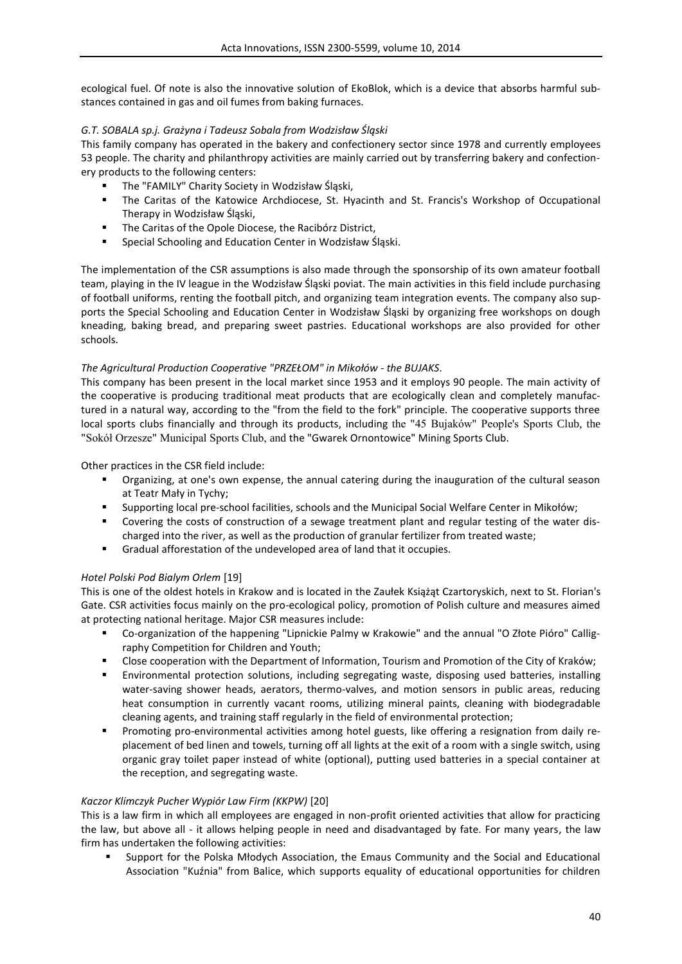ecological fuel. Of note is also the innovative solution of EkoBlok, which is a device that absorbs harmful substances contained in gas and oil fumes from baking furnaces.

# *G.T. SOBALA sp.j. Grażyna i Tadeusz Sobala from Wodzisław Śląski*

This family company has operated in the bakery and confectionery sector since 1978 and currently employees 53 people. The charity and philanthropy activities are mainly carried out by transferring bakery and confectionery products to the following centers:

- The "FAMILY" Charity Society in Wodzisław Śląski,
- The Caritas of the Katowice Archdiocese, St. Hyacinth and St. Francis's Workshop of Occupational Therapy in Wodzisław Śląski,
- The Caritas of the Opole Diocese, the Racibórz District,
- Special Schooling and Education Center in Wodzisław Śląski.

The implementation of the CSR assumptions is also made through the sponsorship of its own amateur football team, playing in the IV league in the Wodzisław Śląski poviat. The main activities in this field include purchasing of football uniforms, renting the football pitch, and organizing team integration events. The company also supports the Special Schooling and Education Center in Wodzisław Śląski by organizing free workshops on dough kneading, baking bread, and preparing sweet pastries. Educational workshops are also provided for other schools.

## *The Agricultural Production Cooperative "PRZEŁOM" in Mikołów - the BUJAKS*.

This company has been present in the local market since 1953 and it employs 90 people. The main activity of the cooperative is producing traditional meat products that are ecologically clean and completely manufactured in a natural way, according to the "from the field to the fork" principle. The cooperative supports three local sports clubs financially and through its products, including the "45 Bujaków" People's Sports Club, the "Sokół Orzesze" Municipal Sports Club, and the "Gwarek Ornontowice" Mining Sports Club.

Other practices in the CSR field include:

- Organizing, at one's own expense, the annual catering during the inauguration of the cultural season at Teatr Mały in Tychy;
- Supporting local pre-school facilities, schools and the Municipal Social Welfare Center in Mikołów;
- Covering the costs of construction of a sewage treatment plant and regular testing of the water discharged into the river, as well as the production of granular fertilizer from treated waste;
- Gradual afforestation of the undeveloped area of land that it occupies.

# *Hotel Polski Pod Bialym Orlem* [19]

This is one of the oldest hotels in Krakow and is located in the Zaułek Książąt Czartoryskich, next to St. Florian's Gate. CSR activities focus mainly on the pro-ecological policy, promotion of Polish culture and measures aimed at protecting national heritage. Major CSR measures include:

- Co-organization of the happening "Lipnickie Palmy w Krakowie" and the annual "O Złote Pióro" Calligraphy Competition for Children and Youth;
- Close cooperation with the Department of Information, Tourism and Promotion of the City of Kraków;
- Environmental protection solutions, including segregating waste, disposing used batteries, installing water-saving shower heads, aerators, thermo-valves, and motion sensors in public areas, reducing heat consumption in currently vacant rooms, utilizing mineral paints, cleaning with biodegradable cleaning agents, and training staff regularly in the field of environmental protection;
- Promoting pro-environmental activities among hotel guests, like offering a resignation from daily replacement of bed linen and towels, turning off all lights at the exit of a room with a single switch, using organic gray toilet paper instead of white (optional), putting used batteries in a special container at the reception, and segregating waste.

## *Kaczor Klimczyk Pucher Wypiór Law Firm (KKPW)* [20]

This is a law firm in which all employees are engaged in non-profit oriented activities that allow for practicing the law, but above all - it allows helping people in need and disadvantaged by fate. For many years, the law firm has undertaken the following activities:

 Support for the Polska Młodych Association, the Emaus Community and the Social and Educational Association "Kuźnia" from Balice, which supports equality of educational opportunities for children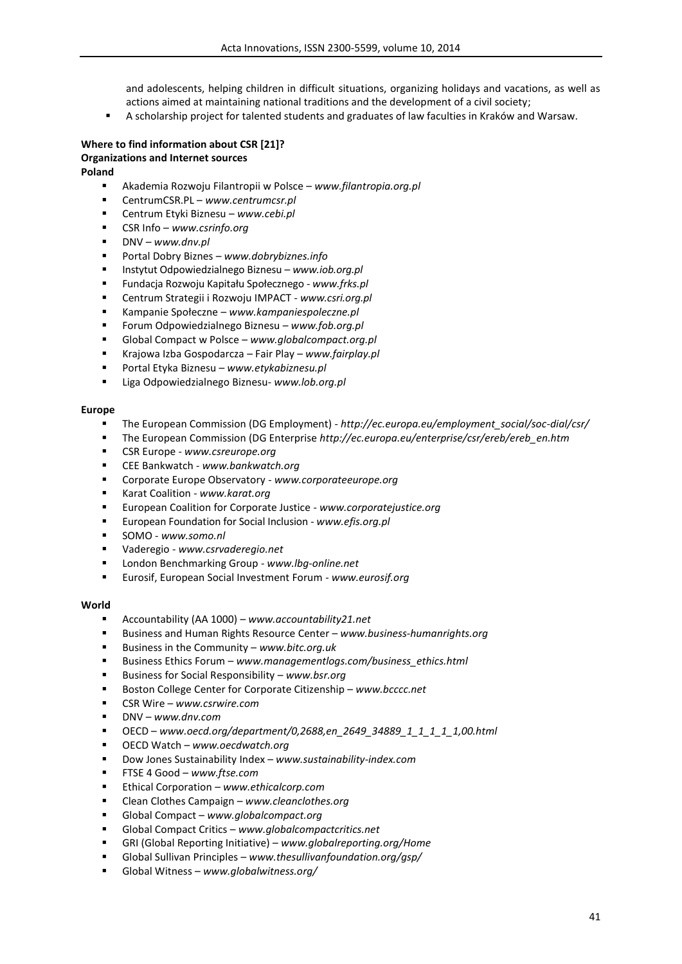and adolescents, helping children in difficult situations, organizing holidays and vacations, as well as actions aimed at maintaining national traditions and the development of a civil society;

A scholarship project for talented students and graduates of law faculties in Kraków and Warsaw.

## **Where to find information about CSR [21]? Organizations and Internet sources**

**Poland**

- Akademia Rozwoju Filantropii w Polsce *www.filantropia.org.pl*
- CentrumCSR.PL *www.centrumcsr.pl*
- Centrum Etyki Biznesu *www.cebi.pl*
- CSR Info *www.csrinfo.org*
- DNV *www.dnv.pl*
- Portal Dobry Biznes *www.dobrybiznes.info*
- Instytut Odpowiedzialnego Biznesu *www.iob.org.pl*
- Fundacja Rozwoju Kapitału Społecznego *www.frks.pl*
- Centrum Strategii i Rozwoju IMPACT *www.csri.org.pl*
- Kampanie Społeczne *www.kampaniespoleczne.pl*
- Forum Odpowiedzialnego Biznesu *www.fob.org.pl*
- Global Compact w Polsce *www.globalcompact.org.pl*
- Krajowa Izba Gospodarcza Fair Play *www.fairplay.pl*
- Portal Etyka Biznesu *www.etykabiznesu.pl*
- Liga Odpowiedzialnego Biznesu- *www.lob.org.pl*

#### **Europe**

- The European Commission (DG Employment) *http://ec.europa.eu/employment\_social/soc-dial/csr/*
- The European Commission (DG Enterprise *http://ec.europa.eu/enterprise/csr/ereb/ereb\_en.htm*
- CSR Europe *www.csreurope.org*
- CEE Bankwatch *www.bankwatch.org*
- Corporate Europe Observatory *www.corporateeurope.org*
- Karat Coalition *www.karat.org*
- European Coalition for Corporate Justice *www.corporatejustice.org*
- European Foundation for Social Inclusion *www.efis.org.pl*
- SOMO *www.somo.nl*
- Vaderegio *www.csrvaderegio.net*
- London Benchmarking Group *www.lbg-online.net*
- Eurosif, European Social Investment Forum *www.eurosif.org*

#### **World**

- Accountability (AA 1000) *www.accountability21.net*
- Business and Human Rights Resource Center *www.business-humanrights.org*
- Business in the Community *www.bitc.org.uk*
- Business Ethics Forum *www.managementlogs.com/business\_ethics.html*
- Business for Social Responsibility *www.bsr.org*
- Boston College Center for Corporate Citizenship *www.bcccc.net*
- CSR Wire *www.csrwire.com*
- DNV *www.dnv.com*
- OECD *www.oecd.org/department/0,2688,en\_2649\_34889\_1\_1\_1\_1\_1,00.html*
- OECD Watch *www.oecdwatch.org*
- Dow Jones Sustainability Index *www.sustainability-index.com*
- FTSE 4 Good *www.ftse.com*
- Ethical Corporation www.ethicalcorp.com
- Clean Clothes Campaign *www.cleanclothes.org*
- Global Compact *www.globalcompact.org*
- Global Compact Critics *www.globalcompactcritics.net*
- GRI (Global Reporting Initiative) *www.globalreporting.org/Home*
- Global Sullivan Principles *www.thesullivanfoundation.org/gsp/*
- Global Witness *www.globalwitness.org/*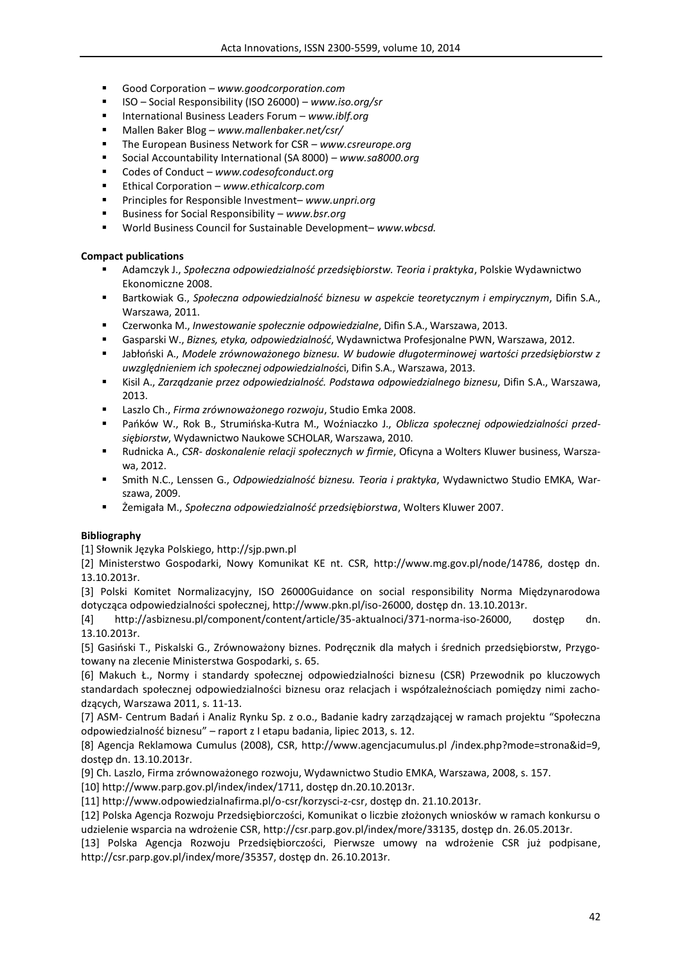- Good Corporation *www.goodcorporation.com*
- ISO Social Responsibility (ISO 26000) *www.iso.org/sr*
- International Business Leaders Forum *www.iblf.org*
- Mallen Baker Blog *www.mallenbaker.net/csr/*
- The European Business Network for CSR *www.csreurope.org*
- Social Accountability International (SA 8000) *www.sa8000.org*
- Codes of Conduct *www.codesofconduct.org*
- Ethical Corporation *www.ethicalcorp.com*
- Principles for Responsible Investment– *www.unpri.org*
- Business for Social Responsibility *www.bsr.org*
- World Business Council for Sustainable Development– *www.wbcsd.*

## **Compact publications**

- Adamczyk J., *Społeczna odpowiedzialność przedsiębiorstw. Teoria i praktyka*, Polskie Wydawnictwo Ekonomiczne 2008.
- Bartkowiak G., *Społeczna odpowiedzialność biznesu w aspekcie teoretycznym i empirycznym*, Difin S.A., Warszawa, 2011.
- Czerwonka M., *Inwestowanie społecznie odpowiedzialne*, Difin S.A., Warszawa, 2013.
- Gasparski W., *Biznes, etyka, odpowiedzialność*, Wydawnictwa Profesjonalne PWN, Warszawa, 2012.
- Jabłoński A., *Modele zrównoważonego biznesu. W budowie długoterminowej wartości przedsiębiorstw z uwzględnieniem ich społecznej odpowiedzialnośc*i, Difin S.A., Warszawa, 2013.
- Kisil A., *Zarządzanie przez odpowiedzialność. Podstawa odpowiedzialnego biznesu*, Difin S.A., Warszawa, 2013.
- Laszlo Ch., *Firma zrównoważonego rozwoju*, Studio Emka 2008.
- Pańków W., Rok B., Strumińska-Kutra M., Woźniaczko J., *Oblicza społecznej odpowiedzialności przedsiębiorstw*, Wydawnictwo Naukowe SCHOLAR, Warszawa, 2010.
- Rudnicka A., *CSR- doskonalenie relacji społecznych w firmie*, Oficyna a Wolters Kluwer business, Warszawa, 2012.
- Smith N.C., Lenssen G., *Odpowiedzialność biznesu. Teoria i praktyka*, Wydawnictwo Studio EMKA, Warszawa, 2009.
- Żemigała M., *Społeczna odpowiedzialność przedsiębiorstwa*, Wolters Kluwer 2007.

# **Bibliography**

[1] Słownik Języka Polskiego, http://sjp.pwn.pl

[2] Ministerstwo Gospodarki, Nowy Komunikat KE nt. CSR, http://www.mg.gov.pl/node/14786, dostęp dn. 13.10.2013r.

[3] Polski Komitet Normalizacyjny, ISO 26000Guidance on social responsibility Norma Międzynarodowa dotycząca odpowiedzialności społecznej, http://www.pkn.pl/iso-26000, dostęp dn. 13.10.2013r.

[4] http://asbiznesu.pl/component/content/article/35-aktualnoci/371-norma-iso-26000, dostęp dn. 13.10.2013r.

[5] Gasiński T., Piskalski G., Zrównoważony biznes. Podręcznik dla małych i średnich przedsiębiorstw, Przygotowany na zlecenie Ministerstwa Gospodarki, s. 65.

[6] Makuch Ł., Normy i standardy społecznej odpowiedzialności biznesu (CSR) Przewodnik po kluczowych standardach społecznej odpowiedzialności biznesu oraz relacjach i współzależnościach pomiędzy nimi zachodzących, Warszawa 2011, s. 11-13.

[7] ASM- Centrum Badań i Analiz Rynku Sp. z o.o., Badanie kadry zarządzającej w ramach projektu "Społeczna odpowiedzialność biznesu" – raport z I etapu badania, lipiec 2013, s. 12.

[8] Agencja Reklamowa Cumulus (2008), CSR, http://www.agencjacumulus.pl /index.php?mode=strona&id=9, dostęp dn. 13.10.2013r.

[9] Ch. Laszlo, Firma zrównoważonego rozwoju, Wydawnictwo Studio EMKA, Warszawa, 2008, s. 157.

[10] http://www.parp.gov.pl/index/index/1711, dostęp dn.20.10.2013r.

[11] http://www.odpowiedzialnafirma.pl/o-csr/korzysci-z-csr, dostęp dn. 21.10.2013r.

[12] Polska Agencja Rozwoju Przedsiębiorczości, Komunikat o liczbie złożonych wniosków w ramach konkursu o udzielenie wsparcia na wdrożenie CSR, http://csr.parp.gov.pl/index/more/33135, dostęp dn. 26.05.2013r.

[13] Polska Agencja Rozwoju Przedsiębiorczości, Pierwsze umowy na wdrożenie CSR już podpisane, http://csr.parp.gov.pl/index/more/35357, dostęp dn. 26.10.2013r.